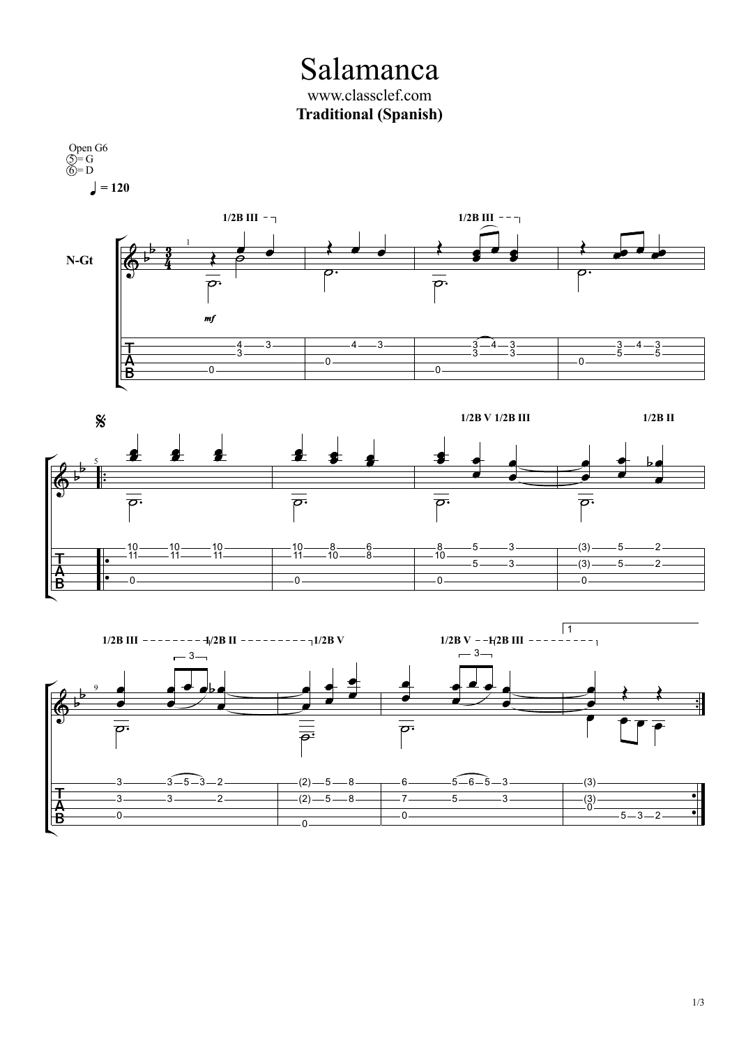Salamanca www.classclef.com **Traditional (Spanish)**

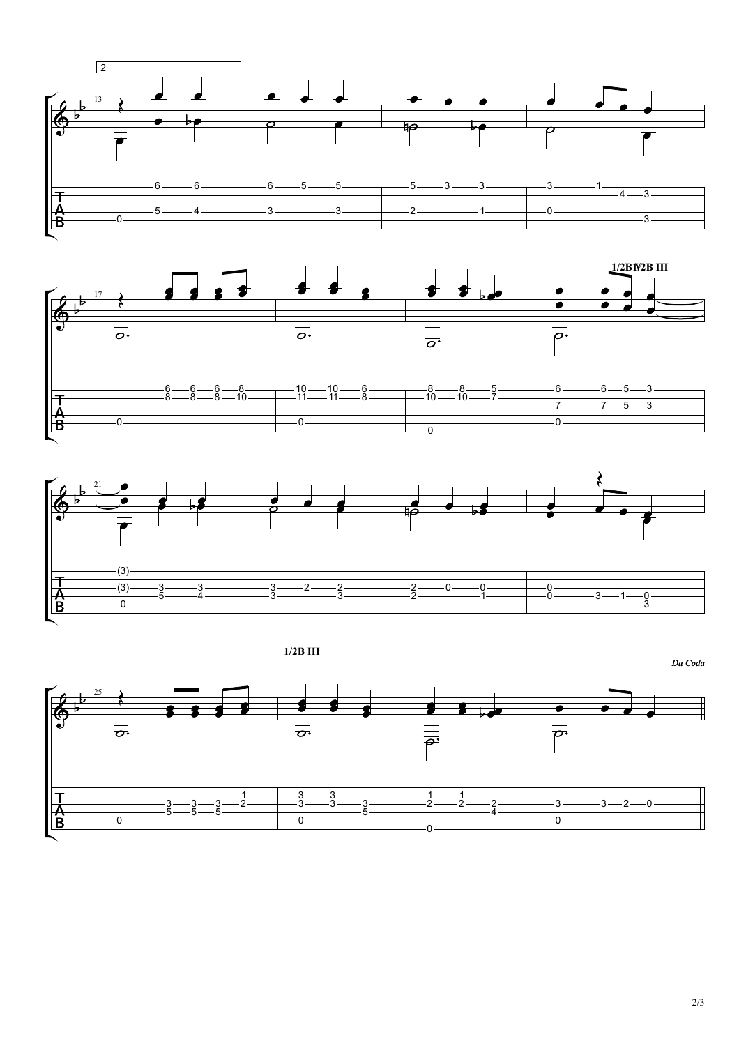





**1/2B III**